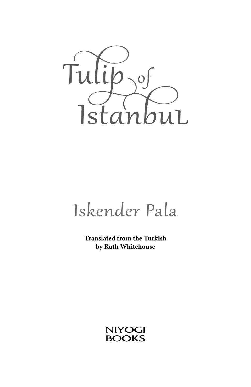

# Iskender Pala

**Translated from the Turkish by Ruth Whitehouse**

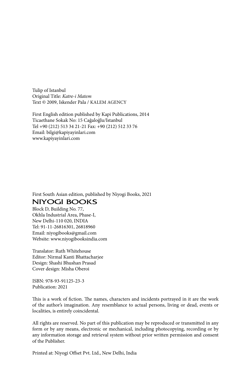Tulip of Istanbul Original Title: *Katre-i Matem* Text © 2009, Iskender Pala / Kalem Agency

First English edition published by Kapi Publications, 2014 Ticaethane Sokak No: 15 Cağaloğlu/Istanbul Tel +90 (212) 513 34 21-21 Fax: +90 (212) 512 33 76 Email: bilgi@kapiyayinlari.com www.kapiyayinlari.com

First South Asian edition, published by Niyogi Books, 2021

#### **NIYOGI BOOKS**

Block D, Building No. 77, Okhla Industrial Area, Phase-I, New Delhi-110 020, INDIA Tel: 91-11-26816301, 26818960 Email: niyogibooks@gmail.com Website: www.niyogibooksindia.com

Translator: Ruth Whitehouse Editor: Nirmal Kanti Bhattacharjee Design: Shashi Bhushan Prasad Cover design: Misha Oberoi

ISBN: 978-93-91125-23-3 Publication: 2021

This is a work of fiction. The names, characters and incidents portrayed in it are the work of the author's imagination. Any resemblance to actual persons, living or dead, events or localities, is entirely coincidental.

All rights are reserved. No part of this publication may be reproduced or transmitted in any form or by any means, electronic or mechanical, including photocopying, recording or by any information storage and retrieval system without prior written permission and consent of the Publisher.

Printed at: Niyogi Offset Pvt. Ltd., New Delhi, India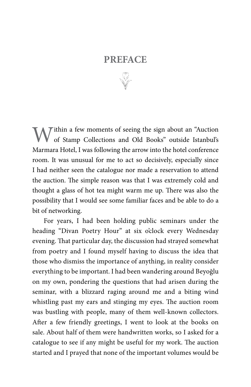### **PREFACE**

 $M^{\text{th}}$ ithin a few moments of seeing the sign about an "Auction" of Stamp Collections and Old Books" outside Istanbul's Marmara Hotel, I was following the arrow into the hotel conference room. It was unusual for me to act so decisively, especially since I had neither seen the catalogue nor made a reservation to attend the auction. The simple reason was that I was extremely cold and thought a glass of hot tea might warm me up. There was also the possibility that I would see some familiar faces and be able to do a bit of networking.

For years, I had been holding public seminars under the heading "Divan Poetry Hour" at six o'clock every Wednesday evening. That particular day, the discussion had strayed somewhat from poetry and I found myself having to discuss the idea that those who dismiss the importance of anything, in reality consider everything to be important. I had been wandering around Beyoğlu on my own, pondering the questions that had arisen during the seminar, with a blizzard raging around me and a biting wind whistling past my ears and stinging my eyes. The auction room was bustling with people, many of them well-known collectors. After a few friendly greetings, I went to look at the books on sale. About half of them were handwritten works, so I asked for a catalogue to see if any might be useful for my work. The auction started and I prayed that none of the important volumes would be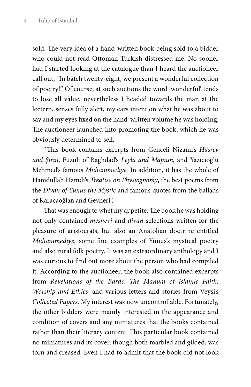sold. The very idea of a hand-written book being sold to a bidder who could not read Ottoman Turkish distressed me. No sooner had I started looking at the catalogue than I heard the auctioneer call out, "In batch twenty-eight, we present a wonderful collection of poetry!" Of course, at such auctions the word 'wonderful' tends to lose all value; nevertheless I headed towards the man at the lectern, senses fully alert, my ears intent on what he was about to say and my eyes fixed on the hand-written volume he was holding. The auctioneer launched into promoting the book, which he was obviously determined to sell.

"This book contains excerpts from Genceli Nizami's *Hüsrev and Şirin*, Fuzuli of Baghdad's *Leyla and Majnun*, and Yazıcıoğlu Mehmed's famous *Muhammediye*. In addition, it has the whole of Hamdullah Hamdi's *Treatise on Physiognomy*, the best poems from the *Divan of Yunus the Mystic* and famous quotes from the ballads of Karacaoğlan and Gevheri".

That was enough to whet my appetite. The book he was holding not only contained *mesnevi* and *divan* selections written for the pleasure of aristocrats, but also an Anatolian doctrine entitled *Muhammediye*, some fine examples of Yunus's mystical poetry and also rural folk poetry. It was an extraordinary anthology and I was curious to find out more about the person who had compiled it. According to the auctioneer, the book also contained excerpts from *Revelations of the Bards*, *The Manual of Islamic Faith, Worship and Ethics*, and various letters and stories from Veysi's *Collected Papers*. My interest was now uncontrollable. Fortunately, the other bidders were mainly interested in the appearance and condition of covers and any miniatures that the books contained rather than their literary content. This particular book contained no miniatures and its cover, though both marbled and gilded, was torn and creased. Even I had to admit that the book did not look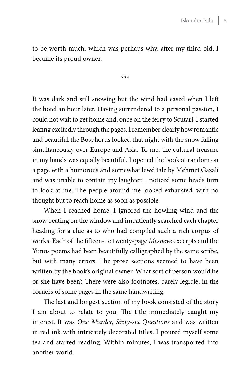to be worth much, which was perhaps why, after my third bid, I became its proud owner.

\*\*\*

It was dark and still snowing but the wind had eased when I left the hotel an hour later. Having surrendered to a personal passion, I could not wait to get home and, once on the ferry to Scutari, I started leafing excitedly through the pages. I remember clearly how romantic and beautiful the Bosphorus looked that night with the snow falling simultaneously over Europe and Asia. To me, the cultural treasure in my hands was equally beautiful. I opened the book at random on a page with a humorous and somewhat lewd tale by Mehmet Gazali and was unable to contain my laughter. I noticed some heads turn to look at me. The people around me looked exhausted, with no thought but to reach home as soon as possible.

When I reached home, I ignored the howling wind and the snow beating on the window and impatiently searched each chapter heading for a clue as to who had compiled such a rich corpus of works. Each of the fifteen- to twenty-page *Mesneve* excerpts and the Yunus poems had been beautifully calligraphed by the same scribe, but with many errors. The prose sections seemed to have been written by the book's original owner. What sort of person would he or she have been? There were also footnotes, barely legible, in the corners of some pages in the same handwriting.

The last and longest section of my book consisted of the story I am about to relate to you. The title immediately caught my interest. It was *One Murder, Sixty-six Questions* and was written in red ink with intricately decorated titles. I poured myself some tea and started reading. Within minutes, I was transported into another world.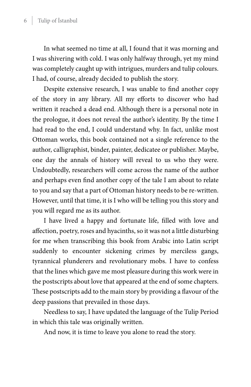In what seemed no time at all, I found that it was morning and I was shivering with cold. I was only halfway through, yet my mind was completely caught up with intrigues, murders and tulip colours. I had, of course, already decided to publish the story.

Despite extensive research, I was unable to find another copy of the story in any library. All my efforts to discover who had written it reached a dead end. Although there is a personal note in the prologue, it does not reveal the author's identity. By the time I had read to the end, I could understand why. In fact, unlike most Ottoman works, this book contained not a single reference to the author, calligraphist, binder, painter, dedicatee or publisher. Maybe, one day the annals of history will reveal to us who they were. Undoubtedly, researchers will come across the name of the author and perhaps even find another copy of the tale I am about to relate to you and say that a part of Ottoman history needs to be re-written. However, until that time, it is I who will be telling you this story and you will regard me as its author.

I have lived a happy and fortunate life, filled with love and affection, poetry, roses and hyacinths, so it was not a little disturbing for me when transcribing this book from Arabic into Latin script suddenly to encounter sickening crimes by merciless gangs, tyrannical plunderers and revolutionary mobs. I have to confess that the lines which gave me most pleasure during this work were in the postscripts about love that appeared at the end of some chapters. These postscripts add to the main story by providing a flavour of the deep passions that prevailed in those days.

Needless to say, I have updated the language of the Tulip Period in which this tale was originally written.

And now, it is time to leave you alone to read the story.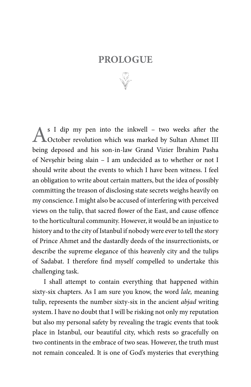### **PROLOGUE**

As I dip my pen into the inkwell – two weeks after the October revolution which was marked by Sultan Ahmet III being deposed and his son-in-law Grand Vizier İbrahim Pasha of Nevşehir being slain – I am undecided as to whether or not I should write about the events to which I have been witness. I feel an obligation to write about certain matters, but the idea of possibly committing the treason of disclosing state secrets weighs heavily on my conscience. I might also be accused of interfering with perceived views on the tulip, that sacred flower of the East, and cause offence to the horticultural community. However, it would be an injustice to history and to the city of Istanbul if nobody were ever to tell the story of Prince Ahmet and the dastardly deeds of the insurrectionists, or describe the supreme elegance of this heavenly city and the tulips of Sadabat. I therefore find myself compelled to undertake this challenging task.

I shall attempt to contain everything that happened within sixty-six chapters. As I am sure you know, the word *lale,* meaning tulip, represents the number sixty-six in the ancient *abjad* writing system. I have no doubt that I will be risking not only my reputation but also my personal safety by revealing the tragic events that took place in Istanbul, our beautiful city, which rests so gracefully on two continents in the embrace of two seas. However, the truth must not remain concealed. It is one of God's mysteries that everything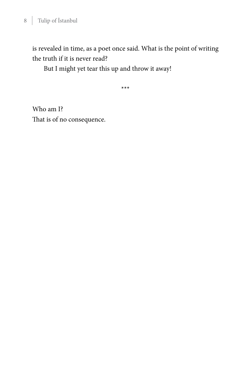is revealed in time, as a poet once said. What is the point of writing the truth if it is never read?

But I might yet tear this up and throw it away!

\*\*\*

Who am I? That is of no consequence.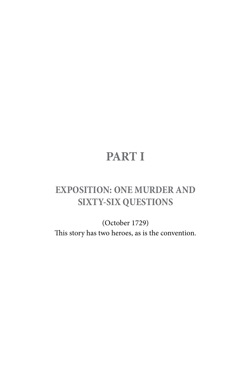# **PART I**

## **EXPOSITION: ONE MURDER AND SIXTY-SIX QUESTIONS**

(October 1729) This story has two heroes, as is the convention.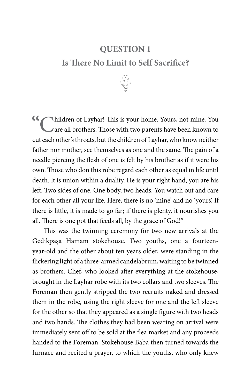### **QUESTION 1 Is There No Limit to Self Sacrifice?**



Children of Layhar! This is your home. Yours, not mine. You are all brothers. Those with two parents have been known to cut each other's throats, but the children of Layhar, who know neither father nor mother, see themselves as one and the same. The pain of a needle piercing the flesh of one is felt by his brother as if it were his own. Those who don this robe regard each other as equal in life until death. It is union within a duality. He is your right hand, you are his left. Two sides of one. One body, two heads. You watch out and care for each other all your life. Here, there is no 'mine' and no 'yours'. If there is little, it is made to go far; if there is plenty, it nourishes you all. There is one pot that feeds all, by the grace of God!"

This was the twinning ceremony for two new arrivals at the Gedikpaşa Hamam stokehouse. Two youths, one a fourteenyear-old and the other about ten years older, were standing in the flickering light of a three-armed candelabrum, waiting to be twinned as brothers. Chef, who looked after everything at the stokehouse, brought in the Layhar robe with its two collars and two sleeves. The Foreman then gently stripped the two recruits naked and dressed them in the robe, using the right sleeve for one and the left sleeve for the other so that they appeared as a single figure with two heads and two hands. The clothes they had been wearing on arrival were immediately sent off to be sold at the flea market and any proceeds handed to the Foreman. Stokehouse Baba then turned towards the furnace and recited a prayer, to which the youths, who only knew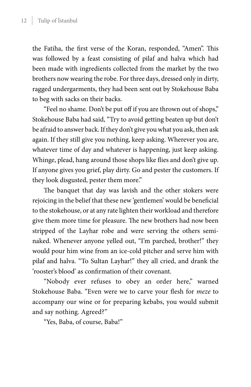the Fatiha, the first verse of the Koran, responded, "Amen". This was followed by a feast consisting of pilaf and halva which had been made with ingredients collected from the market by the two brothers now wearing the robe. For three days, dressed only in dirty, ragged undergarments, they had been sent out by Stokehouse Baba to beg with sacks on their backs.

"Feel no shame. Don't be put off if you are thrown out of shops," Stokehouse Baba had said, "Try to avoid getting beaten up but don't be afraid to answer back. If they don't give you what you ask, then ask again. If they still give you nothing, keep asking. Wherever you are, whatever time of day and whatever is happening, just keep asking. Whinge, plead, hang around those shops like flies and don't give up. If anyone gives you grief, play dirty. Go and pester the customers. If they look disgusted, pester them more."

The banquet that day was lavish and the other stokers were rejoicing in the belief that these new 'gentlemen' would be beneficial to the stokehouse, or at any rate lighten their workload and therefore give them more time for pleasure. The new brothers had now been stripped of the Layhar robe and were serving the others seminaked. Whenever anyone yelled out, "I'm parched, brother!" they would pour him wine from an ice-cold pitcher and serve him with pilaf and halva. "To Sultan Layhar!" they all cried, and drank the 'rooster's blood' as confirmation of their covenant.

"Nobody ever refuses to obey an order here," warned Stokehouse Baba. "Even were we to carve your flesh for *meze* to accompany our wine or for preparing kebabs, you would submit and say nothing. Agreed?"

"Yes, Baba, of course, Baba!"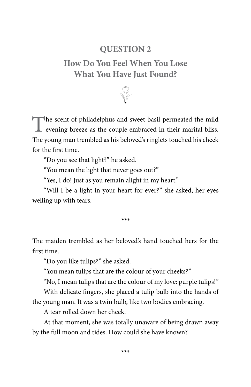### **QUESTION 2**

### **How Do You Feel When You Lose What You Have Just Found?**



The scent of philadelphus and sweet basil permeated the mild  $\perp$  evening breeze as the couple embraced in their marital bliss. The young man trembled as his beloved's ringlets touched his cheek for the first time.

"Do you see that light?" he asked.

"You mean the light that never goes out?"

"Yes, I do! Just as you remain alight in my heart."

"Will I be a light in your heart for ever?" she asked, her eyes welling up with tears.

\*\*\*

The maiden trembled as her beloved's hand touched hers for the first time.

"Do you like tulips?" she asked.

"You mean tulips that are the colour of your cheeks?"

"No, I mean tulips that are the colour of my love: purple tulips!"

With delicate fingers, she placed a tulip bulb into the hands of the young man. It was a twin bulb, like two bodies embracing.

A tear rolled down her cheek.

At that moment, she was totally unaware of being drawn away by the full moon and tides. How could she have known?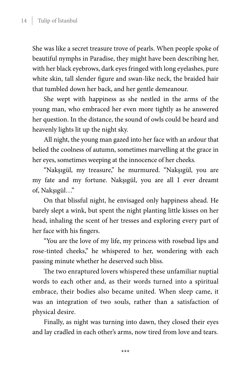She was like a secret treasure trove of pearls. When people spoke of beautiful nymphs in Paradise, they might have been describing her, with her black eyebrows, dark eyes fringed with long eyelashes, pure white skin, tall slender figure and swan-like neck, the braided hair that tumbled down her back, and her gentle demeanour.

She wept with happiness as she nestled in the arms of the young man, who embraced her even more tightly as he answered her question. In the distance, the sound of owls could be heard and heavenly lights lit up the night sky.

All night, the young man gazed into her face with an ardour that belied the coolness of autumn, sometimes marvelling at the grace in her eyes, sometimes weeping at the innocence of her cheeks.

"Nakşıgül, my treasure," he murmured. "Nakşıgül, you are my fate and my fortune. Nakşıgül, you are all I ever dreamt of, Nakşıgül…"

On that blissful night, he envisaged only happiness ahead. He barely slept a wink, but spent the night planting little kisses on her head, inhaling the scent of her tresses and exploring every part of her face with his fingers.

"You are the love of my life, my princess with rosebud lips and rose-tinted cheeks," he whispered to her, wondering with each passing minute whether he deserved such bliss.

The two enraptured lovers whispered these unfamiliar nuptial words to each other and, as their words turned into a spiritual embrace, their bodies also became united. When sleep came, it was an integration of two souls, rather than a satisfaction of physical desire.

Finally, as night was turning into dawn, they closed their eyes and lay cradled in each other's arms, now tired from love and tears.